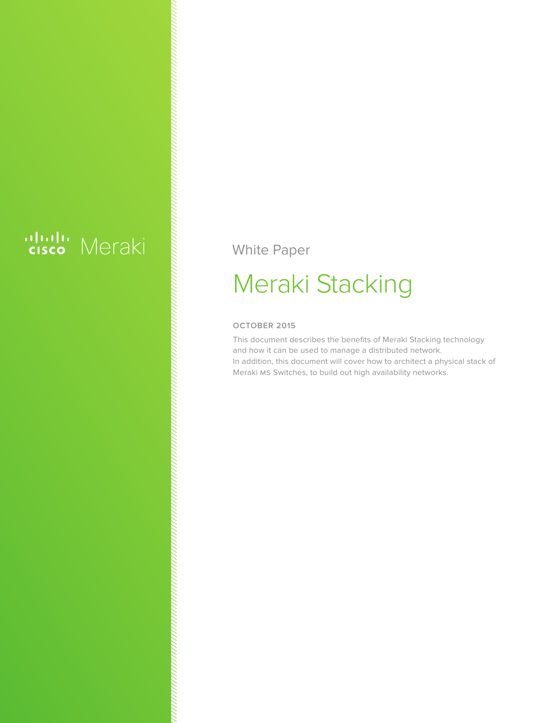# ululu Meraki

White Paper

## Meraki Stacking

#### **OCTOBER 2015**

This document describes the benefits of Meraki Stacking technology and how it can be used to manage a distributed network. In addition, this document will cover how to architect a physical stack of Meraki MS Switches, to build out high availability networks.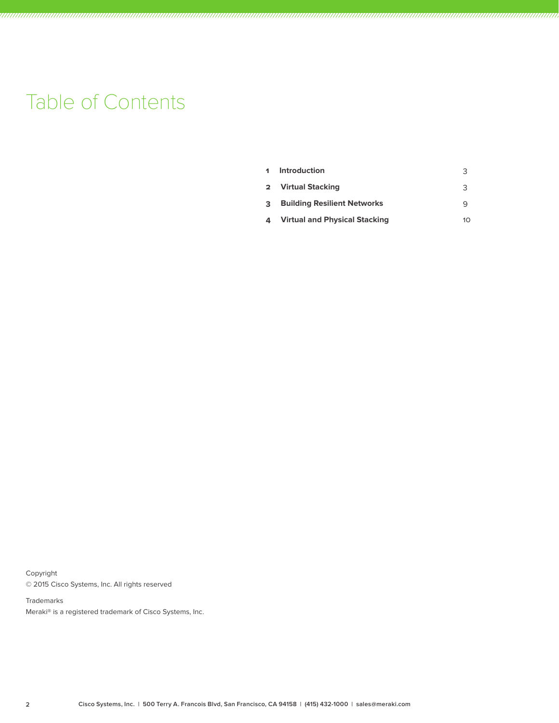### Table of Contents

| 1  | Introduction                         |    |
|----|--------------------------------------|----|
|    | 2 Virtual Stacking                   | ੨  |
| 3. | <b>Building Resilient Networks</b>   |    |
| 4  | <b>Virtual and Physical Stacking</b> | 10 |

Copyright © 2015 Cisco Systems, Inc. All rights reserved

Trademarks Meraki® is a registered trademark of Cisco Systems, Inc.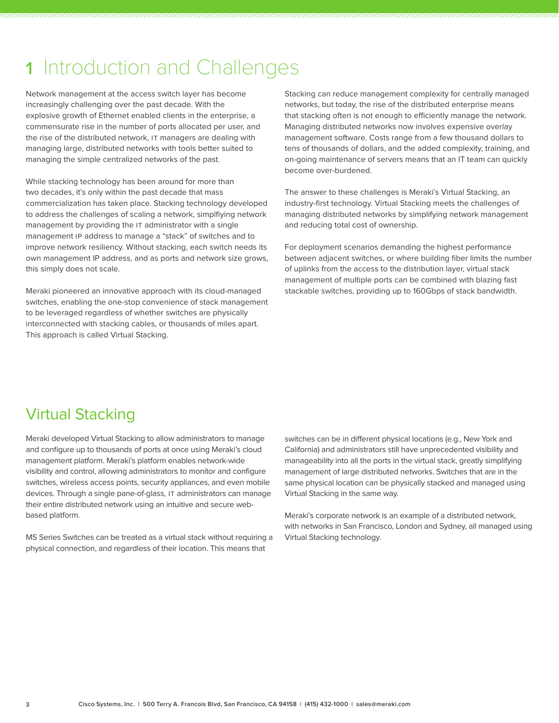### 1 Introduction and Challenges

Network management at the access switch layer has become increasingly challenging over the past decade. With the explosive growth of Ethernet enabled clients in the enterprise, a commensurate rise in the number of ports allocated per user, and the rise of the distributed network, IT managers are dealing with managing large, distributed networks with tools better suited to managing the simple centralized networks of the past.

While stacking technology has been around for more than two decades, it's only within the past decade that mass commercialization has taken place. Stacking technology developed to address the challenges of scaling a network, simplfiying network management by providing the IT administrator with a single management IP address to manage a "stack" of switches and to improve network resiliency. Without stacking, each switch needs its own management IP address, and as ports and network size grows, this simply does not scale.

Meraki pioneered an innovative approach with its cloud-managed switches, enabling the one-stop convenience of stack management to be leveraged regardless of whether switches are physically interconnected with stacking cables, or thousands of miles apart. This approach is called Virtual Stacking.

Stacking can reduce management complexity for centrally managed networks, but today, the rise of the distributed enterprise means that stacking often is not enough to efficiently manage the network. Managing distributed networks now involves expensive overlay management software. Costs range from a few thousand dollars to tens of thousands of dollars, and the added complexity, training, and on-going maintenance of servers means that an IT team can quickly become over-burdened.

The answer to these challenges is Meraki's Virtual Stacking, an industry-first technology. Virtual Stacking meets the challenges of managing distributed networks by simplifying network management and reducing total cost of ownership.

For deployment scenarios demanding the highest performance between adjacent switches, or where building fiber limits the number of uplinks from the access to the distribution layer, virtual stack management of multiple ports can be combined with blazing fast stackable switches, providing up to 160Gbps of stack bandwidth.

### Virtual Stacking

Meraki developed Virtual Stacking to allow administrators to manage and configure up to thousands of ports at once using Meraki's cloud management platform. Meraki's platform enables network-wide visibility and control, allowing administrators to monitor and configure switches, wireless access points, security appliances, and even mobile devices. Through a single pane-of-glass, IT administrators can manage their entire distributed network using an intuitive and secure webbased platform.

MS Series Switches can be treated as a virtual stack without requiring a physical connection, and regardless of their location. This means that

switches can be in different physical locations (e.g., New York and California) and administrators still have unprecedented visibility and manageability into all the ports in the virtual stack, greatly simplifying management of large distributed networks. Switches that are in the same physical location can be physically stacked and managed using Virtual Stacking in the same way.

Meraki's corporate network is an example of a distributed network, with networks in San Francisco, London and Sydney, all managed using Virtual Stacking technology.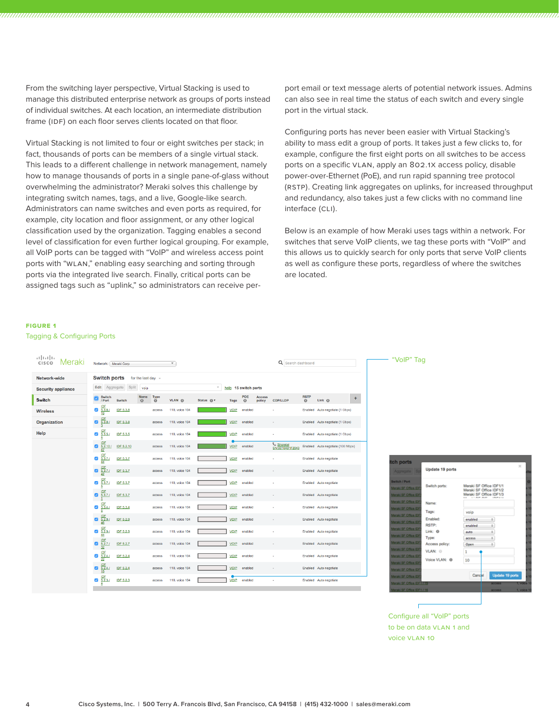From the switching layer perspective, Virtual Stacking is used to manage this distributed enterprise network as groups of ports instead of individual switches. At each location, an intermediate distribution frame (IDF) on each floor serves clients located on that floor.

Virtual Stacking is not limited to four or eight switches per stack; in fact, thousands of ports can be members of a single virtual stack. This leads to a different challenge in network management, namely how to manage thousands of ports in a single pane-of-glass without overwhelming the administrator? Meraki solves this challenge by integrating switch names, tags, and a live, Google-like search. Administrators can name switches and even ports as required, for example, city location and floor assignment, or any other logical classification used by the organization. Tagging enables a second level of classification for even further logical grouping. For example, all VoIP ports can be tagged with "VoIP" and wireless access point ports with "WLAN," enabling easy searching and sorting through ports via the integrated live search. Finally, critical ports can be assigned tags such as "uplink," so administrators can receive perport email or text message alerts of potential network issues. Admins can also see in real time the status of each switch and every single port in the virtual stack.

Configuring ports has never been easier with Virtual Stacking's ability to mass edit a group of ports. It takes just a few clicks to, for example, configure the first eight ports on all switches to be access ports on a specific VLAN, apply an 802.1X access policy, disable power-over-Ethernet (PoE), and run rapid spanning tree protocol (RSTP). Creating link aggregates on uplinks, for increased throughput and redundancy, also takes just a few clicks with no command line interface (CLI).

Below is an example of how Meraki uses tags within a network. For switches that serve VoIP clients, we tag these ports with "VoIP" and this allows us to quickly search for only ports that serve VoIP clients as well as configure these ports, regardless of where the switches are located.

#### **Figure 1**

Tagging & Configuring Ports

| المنابي<br>cisco Meraki   | Network: Meraki Corp                                                                                    | $\boldsymbol{\mathrm{v}}$ |                                                  | Q Search dashboard                                                                         | "VolP" Tag                                   |
|---------------------------|---------------------------------------------------------------------------------------------------------|---------------------------|--------------------------------------------------|--------------------------------------------------------------------------------------------|----------------------------------------------|
| Network-wide              | <b>Switch ports</b><br>for the last day $-$                                                             |                           |                                                  |                                                                                            |                                              |
| <b>Security appliance</b> | Split<br>Edit<br>Aggregate<br>voip                                                                      |                           | $\overline{\phantom{a}}$<br>help 15 switch ports |                                                                                            |                                              |
| <b>Switch</b>             | Name<br>Switch<br>$\odot$<br>/ Port<br>Switch                                                           | Type<br>VLAN ®<br>e.      | POE<br>Status <sup>@</sup> ▼<br>$\odot$<br>Tags  | <b>RSTP</b><br><b>Access</b><br>$\Theta$<br>Link <sub>0</sub><br>policy<br><b>CDP/LLDP</b> | ÷                                            |
| <b>Wireless</b>           | $rac{1DF}{5.3.8}$<br>$\overline{\mathcal{L}}$<br>IDF 5.3.8                                              | 110, voice 104<br>access  | <b>VOIP</b><br>enabled                           | Enabled Auto negotiate (1 Gbps)                                                            |                                              |
| Organization              | $rac{IDF}{5.3.8}$<br>$\bullet$<br>IDF 5.3.8                                                             | 110, voice 104<br>access  | <b>VOIP</b><br>enabled                           | Enabled Auto negotiate (1 Gbps)                                                            |                                              |
| Help                      | $rac{IDF}{5.3.5}$<br>$\overline{\mathbf{v}}$<br>IDF 5.3.5                                               | 110, voice 104<br>access  | <b>VOIP</b><br>enabled                           | Enabled Auto negotiate (1 Gbps)                                                            |                                              |
|                           | $\frac{1DF}{5.2.10}$ /<br>$\bullet$<br>IDF 5.2.10                                                       | 110, voice 104<br>access  | <b>VOIP</b><br>enabled                           | Shoretel<br>SN:0010491F2043<br>Enabled Auto negotiate (100 Mbps)                           |                                              |
|                           | $rac{IDF}{5.3.7}$<br>$\overline{\mathcal{L}}$<br>IDF 5.3.7<br>44                                        | 110, voice 104<br>access  | <b>VOIP</b><br>enabled                           | Enabled Auto negotiate                                                                     | tch ports                                    |
|                           | $\frac{\underline{\text{IDF}}}{\underline{\text{5.3.7}}}\underline{7}$<br>$\bullet$<br><b>IDF 5.3.7</b> | 110, voice 104<br>access  | <b>VOIP</b><br>enabled                           | Enabled Auto negotiate                                                                     | Aggregate S                                  |
|                           | $rac{IDF}{5.3.7}$<br>$\overline{\mathcal{L}}$<br>IDF 5.3.7                                              | 110, voice 104<br>access  | VOIP<br>enabled                                  | Enabled Auto negotiate                                                                     | <b>Switch / Port</b>                         |
|                           | $\frac{\text{IDF}}{\text{5.3.7}}$<br>$\bullet$<br>IDF 5.3.7                                             | 110, voice 104<br>access  | <b>VOIP</b><br>enabled                           | Enabled Auto negotiate                                                                     | Meraki SF Office IDF<br>Meraki SF Office IDF |
|                           | $rac{IDF}{5.3.4}$<br>$\overline{\mathcal{L}}$<br>IDF 5.3.4<br>5                                         | 110, voice 104<br>access  | VOIP<br>enabled                                  | Enabled Auto negotiate                                                                     | Meraki SF Office IDI<br>Veraki SF Office IDI |
|                           | $rac{IDF}{5.2.9}$<br>$\bullet$<br><b>IDF 5.2.9</b><br>46                                                | 110, voice 104<br>access  | <b>VOIP</b><br>enabled                           | Enabled Auto negotiate                                                                     | Meraki SF Office IDF<br>Meraki SF Office IDI |
|                           | $rac{IDF}{5.2.9}$<br>$\overline{\mathcal{L}}$<br><b>IDF 5.2.9</b><br>44                                 | 110, voice 104<br>access  | VOIP<br>enabled                                  | Enabled Auto negotiate                                                                     | Meraki SF Office IDI                         |
|                           | $rac{1DF}{6.2.71}$<br>$\bullet$<br><b>IDF 5.2.7</b>                                                     | 110, voice 104<br>access  | <b>VOIP</b><br>enabled                           | Enabled Auto negotiate                                                                     | Veraki SF Office ID<br>Meraki SF Office IDI  |
|                           | <b>IDE</b><br>$\overline{\mathcal{L}}$<br>$rac{5.2.4}{22}$<br><b>IDF 5.2.4</b>                          | 110, voice 104<br>access  | VOIP<br>enabled                                  | Enabled Auto negotiate                                                                     | Meraki SF Office IDI<br>Meraki SF Office IDF |
|                           | $rac{1DF}{5.2.4}$<br>$\bullet$<br>IDF 5.2.4                                                             | 110, voice 104<br>access  | <b>VOIP</b><br>enabled                           | Enabled Auto negotiate                                                                     | Veraki SF Office IDF<br>Meraki SF Office IDF |
|                           | <b>IDF</b><br>$\overline{\mathcal{L}}$<br>5.2.31<br><b>IDF 5.2.3</b>                                    | 110, voice 104<br>access  | VOIP<br>enabled                                  | Enabled Auto negotiate                                                                     | Meraki SF Office IDF                         |



Configure all "VoIP" ports to be on data VLAN 1 and voice VLAN 10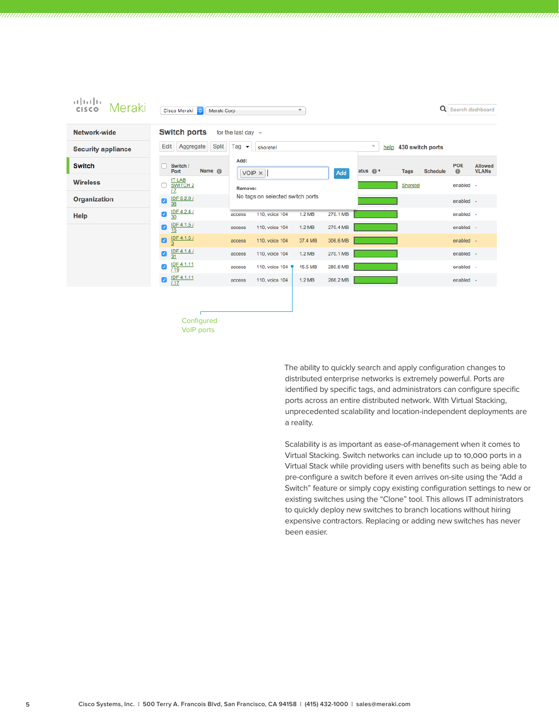| ببلسلات<br>Meraki<br>CISCO | Q<br>Search dashboard<br>Cisco Meraki<br>Meraki Corp<br>$\overline{\mathbf{v}}$                                                                    |                         |
|----------------------------|----------------------------------------------------------------------------------------------------------------------------------------------------|-------------------------|
| Network-wide               | <b>Switch ports</b><br>for the last day $\sim$                                                                                                     |                         |
| <b>Security appliance</b>  | Edit<br>Aggregate<br><b>Split</b><br>Tag $\rightarrow$<br>$\overline{\psi}$<br>help 430 switch ports<br>shoretel                                   |                         |
| <b>Switch</b>              | Add:<br>POE<br>Switch /<br>Name <sup>6</sup><br>atus $\bigcirc$ $\mathbf{v}$<br>$\circ$<br><b>Schedule</b><br>Port<br><b>Tags</b><br>VOIP X<br>Add | Allowed<br><b>VLANs</b> |
| <b>Wireless</b>            | <b>IT LAB</b><br><b>SWITCH 2</b><br>Shoretel<br>enabled -<br>Remove:<br>$\overline{17}$                                                            |                         |
| <b>Organization</b>        | No tags on selected switch ports<br>IDF 5.2.9 /<br>$\overline{\mathcal{L}}$<br>enabled -                                                           |                         |
| Help                       | $rac{1DF 4.2.47}{30}$<br>$\blacktriangledown$<br>1.2 MB<br>270.1 MB<br>110, voice 104<br>enabled -<br>access                                       |                         |
|                            | $\underline{\frac{1DF 4.1.5}{15}}$<br>Ø<br>1.2 MB<br>270.4 MB<br>110, voice 104<br>enabled -<br>access                                             |                         |
|                            | $rac{\text{IDF }4.1.5 \text{ } /}{3}$<br>ø<br>37.4 MB<br>306.6 MB<br>enabled -<br>110, voice 104<br>access                                         |                         |
|                            | $\frac{ DF 4.1.4 }{31}$<br>Ø<br>1.2 MB<br>270.1 MB<br>enabled -<br>110, voice 104<br>access                                                        |                         |
|                            | IDF 4.1.11<br>$\overline{\mathcal{L}}$<br>15.5 MB<br>280.6 MB<br>enabled -<br>110, voice 104<br>access<br>$\overline{119}$                         |                         |
|                            | IDF 4.1.11<br>Ø<br>1.2 MB<br>266.2 MB<br>enabled -<br>110, voice 104<br>access                                                                     |                         |
|                            |                                                                                                                                                    |                         |

**Configured** VoIP ports

> The ability to quickly search and apply configuration changes to distributed enterprise networks is extremely powerful. Ports are identified by specific tags, and administrators can configure specific ports across an entire distributed network. With Virtual Stacking, unprecedented scalability and location-independent deployments are a reality.

Scalability is as important as ease-of-management when it comes to Virtual Stacking. Switch networks can include up to 10,000 ports in a Virtual Stack while providing users with benefits such as being able to pre-configure a switch before it even arrives on-site using the "Add a Switch" feature or simply copy existing configuration settings to new or existing switches using the "Clone" tool. This allows IT administrators to quickly deploy new switches to branch locations without hiring expensive contractors. Replacing or adding new switches has never been easier.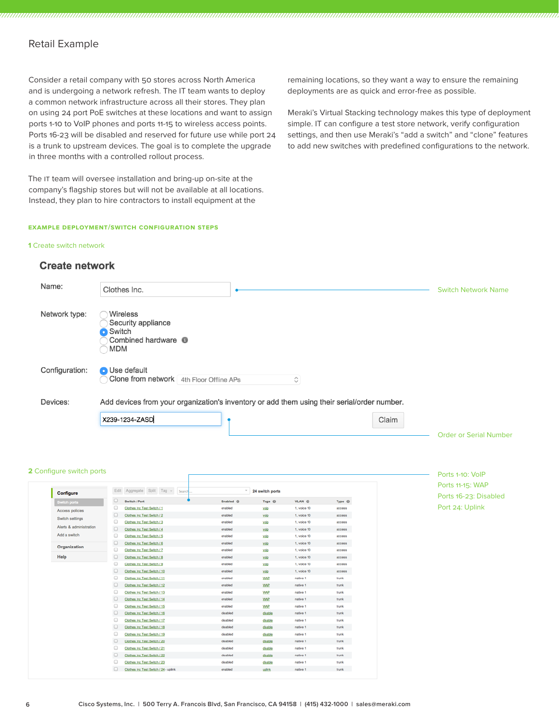#### Retail Example

Consider a retail company with 50 stores across North America and is undergoing a network refresh. The IT team wants to deploy a common network infrastructure across all their stores. They plan on using 24 port PoE switches at these locations and want to assign ports 1-10 to VoIP phones and ports 11-15 to wireless access points. Ports 16-23 will be disabled and reserved for future use while port 24 is a trunk to upstream devices. The goal is to complete the upgrade in three months with a controlled rollout process.

The IT team will oversee installation and bring-up on-site at the company's flagship stores but will not be available at all locations. Instead, they plan to hire contractors to install equipment at the

#### **Example Deployment/Switch Configuration Steps**

#### **1** Create switch network

#### **Create network**

Name: Clothes Inc. Switch Network Name Network type: Wireless Security appliance **O** Switch Combined hardware **O MDM** Configuration: **O** Use default Clone from network 4th Floor Offline APs  $\hat{\mathcal{C}}$ Devices: Add devices from your organization's inventory or add them using their serial/order number. X239-1234-ZASD Claim Order or Serial Number

#### **2** Configure switch ports

| Configure               |                      | Edit Aggregate Split Tag v<br>Search | $\sim$                 | 24 switch ports     |                   |                   |
|-------------------------|----------------------|--------------------------------------|------------------------|---------------------|-------------------|-------------------|
| Switch ports            | $\Box$               | Switch / Port                        | Enabled <sup>(3)</sup> | Tags <sup>(i)</sup> | VLAN <sup>®</sup> | Type <sub>0</sub> |
| Access policies         | $\qquad \qquad \Box$ | Clothes Inc Test Switch / 1          | enabled                | voip                | 1, voice 10       | access            |
| Switch settings         | $\Box$               | Clothes Inc Test Switch / 2          | enabled                | voip                | 1, voice 10       | access            |
|                         | $\qquad \qquad \Box$ | Clothes Inc Test Switch / 3          | enabled                | voip                | 1, voice 10       | access            |
| Alerts & administration | $\Box$               | Clothes Inc Test Switch / 4          | enabled                | voip                | 1, voice 10       | access            |
| Add a switch            | $\qquad \qquad \Box$ | Clothes Inc Test Switch / 5          | enabled                | voip                | 1, voice 10       | access            |
| Organization            | $\Box$               | Clothes Inc Test Switch / 6          | enabled                | voip                | 1, voice 10       | access            |
|                         | $\qquad \qquad \Box$ | Clothes Inc Test Switch / 7          | enabled                | voip                | 1, voice 10       | access            |
| Help                    | $\Box$               | Clothes Inc Test Switch / 8          | enabled                | voip                | 1, voice 10       | access            |
|                         | $\qquad \qquad \Box$ | Clothes Inc Test Switch / 9          | enabled                | voip                | 1, voice 10       | access            |
|                         | $\Box$               | Clothes Inc Test Switch / 10         | enabled                | voip                | 1, voice 10       | access            |
|                         | $\qquad \qquad \Box$ | Clothes Inc Test Switch / 11         | enabled                | <b>WAP</b>          | native 1          | trunk             |
|                         | $\Box$               | Clothes Inc Test Switch / 12         | enabled                | <b>WAP</b>          | native 1          | trunk             |
|                         | $\qquad \qquad \Box$ | Clothes Inc Test Switch / 13         | enabled                | <b>WAP</b>          | native 1          | trunk             |
|                         | $\Box$               | Clothes Inc Test Switch / 14         | enabled                | <b>WAP</b>          | native 1          | trunk             |
|                         | $\qquad \qquad \Box$ | Clothes Inc Test Switch / 15         | enabled                | <b>WAP</b>          | native 1          | trunk             |
|                         | $\Box$               | Clothes Inc Test Switch / 16         | disabled               | disable             | native 1          | trunk             |
|                         | $\qquad \qquad \Box$ | Clothes Inc Test Switch / 17         | disabled               | disable             | native 1          | trunk             |
|                         | $\Box$               | Clothes Inc Test Switch / 18         | disabled               | disable             | native 1          | trunk             |
|                         | $\qquad \qquad \Box$ | Clothes Inc Test Switch / 19         | disabled               | disable             | native 1          | trunk             |
|                         | $\Box$               | Clothes Inc Test Switch / 20         | disabled               | disable             | native 1          | trunk             |
|                         | $\qquad \qquad \Box$ | Clothes Inc Test Switch / 21         | disabled               | disable             | native 1          | trunk             |
|                         | $\Box$               | Clothes Inc Test Switch / 22         | disabled               | disable             | native 1          | trunk             |
|                         | $\qquad \qquad \Box$ | Clothes Inc Test Switch / 23         | disabled               | disable             | native 1          | trunk             |

remaining locations, so they want a way to ensure the remaining deployments are as quick and error-free as possible.

Meraki's Virtual Stacking technology makes this type of deployment simple. IT can configure a test store network, verify configuration settings, and then use Meraki's "add a switch" and "clone" features to add new switches with predefined configurations to the network.

#### Ports 1-10: VoIP Ports 11-15: WAP Ports 16-23: Disabled Port 24: Uplink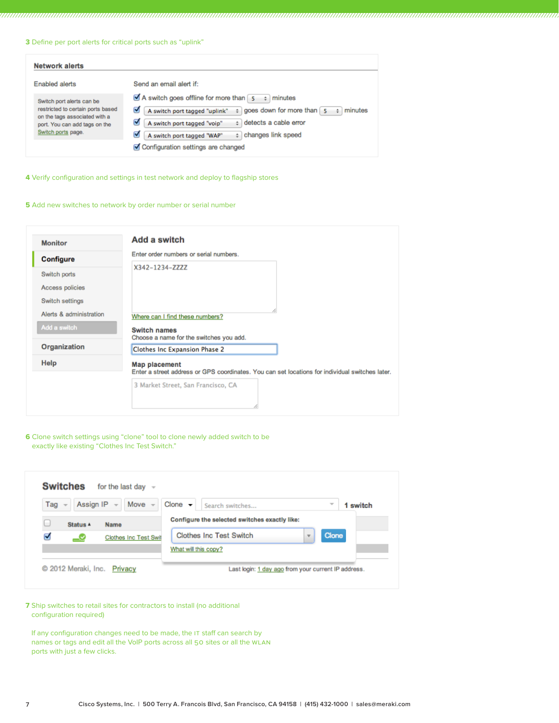**3** Define per port alerts for critical ports such as "uplink"

| <b>Network alerts</b>                                                                                                                                  |                                                                                                                                                                                                                                                                                                                                             |
|--------------------------------------------------------------------------------------------------------------------------------------------------------|---------------------------------------------------------------------------------------------------------------------------------------------------------------------------------------------------------------------------------------------------------------------------------------------------------------------------------------------|
| Enabled alerts                                                                                                                                         | Send an email alert if:                                                                                                                                                                                                                                                                                                                     |
| Switch port alerts can be<br>restricted to certain ports based<br>on the tags associated with a<br>port. You can add tags on the<br>Switch ports page. | A switch goes offline for more than $\begin{bmatrix} 5 \\ 7 \end{bmatrix}$<br>minutes<br>goes down for more than 5<br>A switch port tagged "uplink"<br>minutes<br>M<br>$\div$<br>$\pm$ detects a cable error<br>A switch port tagged "voip"<br>changes link speed<br>A switch port tagged "WAP"<br>÷.<br>Configuration settings are changed |

**4** Verify configuration and settings in test network and deploy to flagship stores

#### **5** Add new switches to network by order number or serial number

| <b>Monitor</b>          | <b>Add a switch</b>                                                                                                     |
|-------------------------|-------------------------------------------------------------------------------------------------------------------------|
| Configure               | Enter order numbers or serial numbers.                                                                                  |
| Switch ports            | X342-1234-ZZZZ                                                                                                          |
| Access policies         |                                                                                                                         |
| Switch settings         |                                                                                                                         |
| Alerts & administration | Where can I find these numbers?                                                                                         |
| Add a switch            | <b>Switch names</b><br>Choose a name for the switches you add.                                                          |
| Organization            | <b>Clothes Inc Expansion Phase 2</b>                                                                                    |
| Help                    | <b>Map placement</b><br>Enter a street address or GPS coordinates. You can set locations for individual switches later. |
|                         | 3 Market Street, San Francisco, CA                                                                                      |

**6** Clone switch settings using "clone" tool to clone newly added switch to be exactly like existing "Clothes Inc Test Switch."

| Tag $\sim$ | Assign IP $\sim$ Move $\sim$ | Clone $\blacktriangleright$<br>Search switches<br>$\overline{\phantom{a}}$ | 1 switch |
|------------|------------------------------|----------------------------------------------------------------------------|----------|
| Status A   | Name                         | Configure the selected switches exactly like:                              |          |
| ☑<br>-9    | Clothes Inc Test Swif        | Clone<br><b>Clothes Inc Test Switch</b><br>$\overline{\phantom{a}}$        |          |
|            |                              | What will this copy?                                                       |          |

**7** Ship switches to retail sites for contractors to install (no additional configuration required)

If any configuration changes need to be made, the IT staff can search by names or tags and edit all the VoIP ports across all 50 sites or all the WLAN ports with just a few clicks.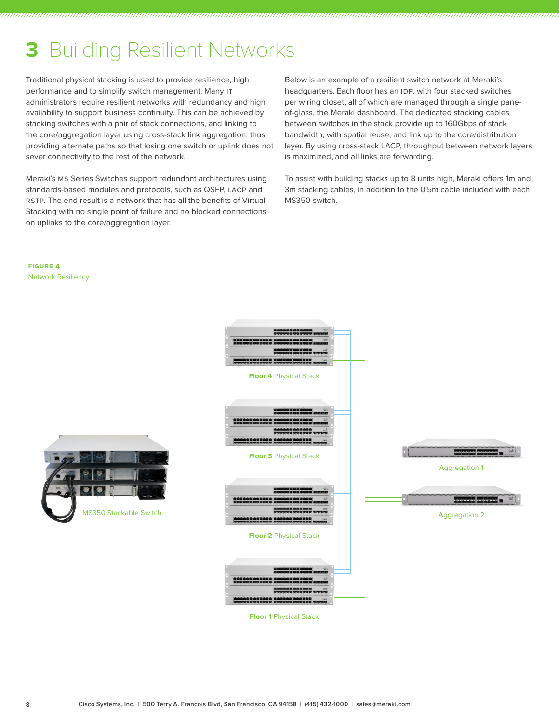### **3** Building Resilient Networks

Traditional physical stacking is used to provide resilience, high performance and to simplify switch management. Many IT administrators require resilient networks with redundancy and high availability to support business continuity. This can be achieved by stacking switches with a pair of stack connections, and linking to the core/aggregation layer using cross-stack link aggregation, thus providing alternate paths so that losing one switch or uplink does not sever connectivity to the rest of the network.

Meraki's MS Series Switches support redundant architectures using standards-based modules and protocols, such as QSFP, LACP and RSTP. The end result is a network that has all the benefits of Virtual Stacking with no single point of failure and no blocked connections on uplinks to the core/aggregation layer.

Below is an example of a resilient switch network at Meraki's headquarters. Each floor has an IDF, with four stacked switches per wiring closet, all of which are managed through a single paneof-glass, the Meraki dashboard. The dedicated stacking cables between switches in the stack provide up to 160Gbps of stack bandwidth, with spatial reuse, and link up to the core/distribution layer. By using cross-stack LACP, throughput between network layers is maximized, and all links are forwarding.

To assist with building stacks up to 8 units high, Meraki offers 1m and 3m stacking cables, in addition to the 0.5m cable included with each MS350 switch.

**Figure 4** Network Resiliency





**Floor 1** Physical Stack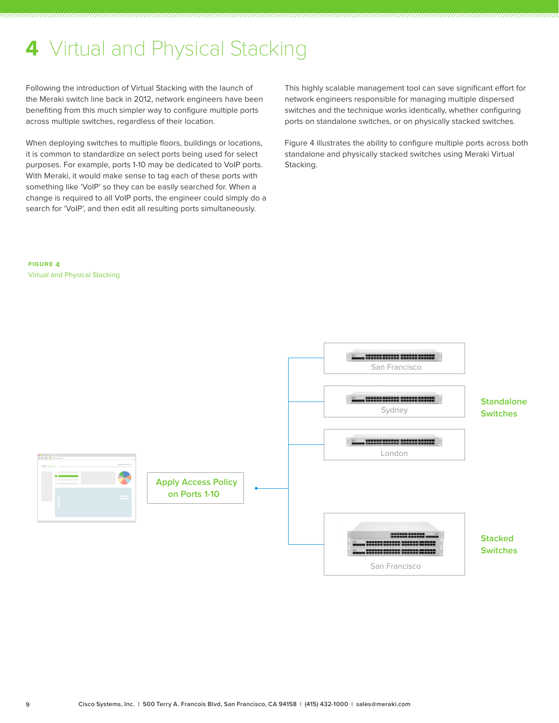### **4** Virtual and Physical Stacking

Following the introduction of Virtual Stacking with the launch of the Meraki switch line back in 2012, network engineers have been benefiting from this much simpler way to configure multiple ports across multiple switches, regardless of their location.

When deploying switches to multiple floors, buildings or locations, it is common to standardize on select ports being used for select purposes. For example, ports 1-10 may be dedicated to VoIP ports. With Meraki, it would make sense to tag each of these ports with something like 'VoIP' so they can be easily searched for. When a change is required to all VoIP ports, the engineer could simply do a search for 'VoIP', and then edit all resulting ports simultaneously.

This highly scalable management tool can save significant effort for network engineers responsible for managing multiple dispersed switches and the technique works identically, whether configuring ports on standalone switches, or on physically stacked switches.

Figure 4 illustrates the ability to configure multiple ports across both standalone and physically stacked switches using Meraki Virtual Stacking.

**Figure 4** Virtual and Physical Stacking